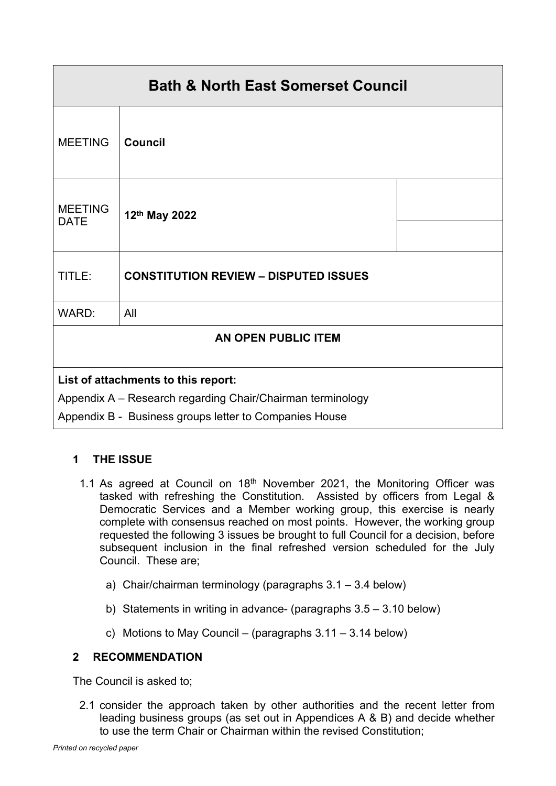| <b>Bath &amp; North East Somerset Council</b>              |                                              |  |
|------------------------------------------------------------|----------------------------------------------|--|
| <b>MEETING</b>                                             | <b>Council</b>                               |  |
| <b>MEETING</b><br><b>DATE</b>                              | 12th May 2022                                |  |
| TITLE:                                                     | <b>CONSTITUTION REVIEW - DISPUTED ISSUES</b> |  |
| WARD:                                                      | All                                          |  |
| <b>AN OPEN PUBLIC ITEM</b>                                 |                                              |  |
| List of attachments to this report:                        |                                              |  |
| Appendix A - Research regarding Chair/Chairman terminology |                                              |  |
| Appendix B - Business groups letter to Companies House     |                                              |  |

# **1 THE ISSUE**

- 1.1 As agreed at Council on  $18<sup>th</sup>$  November 2021, the Monitoring Officer was tasked with refreshing the Constitution. Assisted by officers from Legal & Democratic Services and a Member working group, this exercise is nearly complete with consensus reached on most points. However, the working group requested the following 3 issues be brought to full Council for a decision, before subsequent inclusion in the final refreshed version scheduled for the July Council. These are;
	- a) Chair/chairman terminology (paragraphs 3.1 3.4 below)
	- b) Statements in writing in advance- (paragraphs 3.5 3.10 below)
	- c) Motions to May Council (paragraphs  $3.11 3.14$  below)

# **2 RECOMMENDATION**

The Council is asked to;

2.1 consider the approach taken by other authorities and the recent letter from leading business groups (as set out in Appendices A & B) and decide whether to use the term Chair or Chairman within the revised Constitution;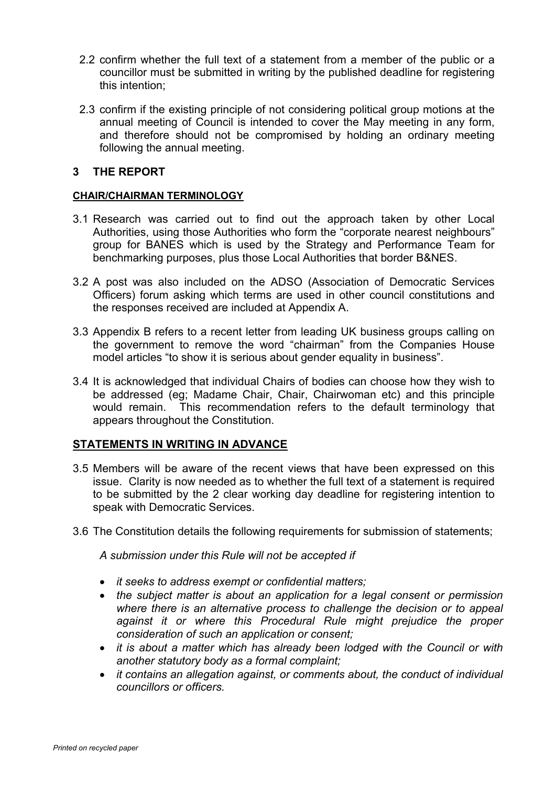- 2.2 confirm whether the full text of a statement from a member of the public or a councillor must be submitted in writing by the published deadline for registering this intention;
- 2.3 confirm if the existing principle of not considering political group motions at the annual meeting of Council is intended to cover the May meeting in any form, and therefore should not be compromised by holding an ordinary meeting following the annual meeting.

### **3 THE REPORT**

#### **CHAIR/CHAIRMAN TERMINOLOGY**

- 3.1 Research was carried out to find out the approach taken by other Local Authorities, using those Authorities who form the "corporate nearest neighbours" group for BANES which is used by the Strategy and Performance Team for benchmarking purposes, plus those Local Authorities that border B&NES.
- 3.2 A post was also included on the ADSO (Association of Democratic Services Officers) forum asking which terms are used in other council constitutions and the responses received are included at Appendix A.
- 3.3 Appendix B refers to a recent letter from leading UK business groups calling on the government to remove the word "chairman" from the Companies House model articles "to show it is serious about gender equality in business".
- 3.4 It is acknowledged that individual Chairs of bodies can choose how they wish to be addressed (eg; Madame Chair, Chair, Chairwoman etc) and this principle would remain. This recommendation refers to the default terminology that appears throughout the Constitution.

#### **STATEMENTS IN WRITING IN ADVANCE**

- 3.5 Members will be aware of the recent views that have been expressed on this issue. Clarity is now needed as to whether the full text of a statement is required to be submitted by the 2 clear working day deadline for registering intention to speak with Democratic Services.
- 3.6 The Constitution details the following requirements for submission of statements;

*A submission under this Rule will not be accepted if*

- *it seeks to address exempt or confidential matters;*
- *the subject matter is about an application for a legal consent or permission where there is an alternative process to challenge the decision or to appeal against it or where this Procedural Rule might prejudice the proper consideration of such an application or consent;*
- *it is about a matter which has already been lodged with the Council or with another statutory body as a formal complaint;*
- *it contains an allegation against, or comments about, the conduct of individual councillors or officers.*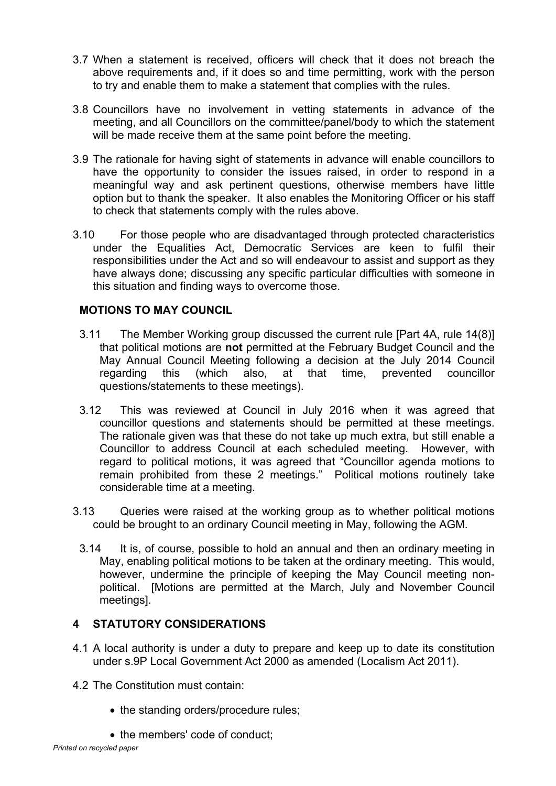- 3.7 When a statement is received, officers will check that it does not breach the above requirements and, if it does so and time permitting, work with the person to try and enable them to make a statement that complies with the rules.
- 3.8 Councillors have no involvement in vetting statements in advance of the meeting, and all Councillors on the committee/panel/body to which the statement will be made receive them at the same point before the meeting.
- 3.9 The rationale for having sight of statements in advance will enable councillors to have the opportunity to consider the issues raised, in order to respond in a meaningful way and ask pertinent questions, otherwise members have little option but to thank the speaker. It also enables the Monitoring Officer or his staff to check that statements comply with the rules above.
- 3.10 For those people who are disadvantaged through protected characteristics under the Equalities Act, Democratic Services are keen to fulfil their responsibilities under the Act and so will endeavour to assist and support as they have always done; discussing any specific particular difficulties with someone in this situation and finding ways to overcome those.

### **MOTIONS TO MAY COUNCIL**

- 3.11 The Member Working group discussed the current rule [Part 4A, rule 14(8)] that political motions are **not** permitted at the February Budget Council and the May Annual Council Meeting following a decision at the July 2014 Council regarding this (which also, at that time, prevented councillor questions/statements to these meetings).
- 3.12 This was reviewed at Council in July 2016 when it was agreed that councillor questions and statements should be permitted at these meetings. The rationale given was that these do not take up much extra, but still enable a Councillor to address Council at each scheduled meeting. However, with regard to political motions, it was agreed that "Councillor agenda motions to remain prohibited from these 2 meetings." Political motions routinely take considerable time at a meeting.
- 3.13 Queries were raised at the working group as to whether political motions could be brought to an ordinary Council meeting in May, following the AGM.
	- 3.14 It is, of course, possible to hold an annual and then an ordinary meeting in May, enabling political motions to be taken at the ordinary meeting. This would, however, undermine the principle of keeping the May Council meeting nonpolitical. [Motions are permitted at the March, July and November Council meetings].

### **4 STATUTORY CONSIDERATIONS**

- 4.1 A local authority is under a duty to prepare and keep up to date its constitution under s.9P Local Government Act 2000 as amended (Localism Act 2011).
- 4.2 The Constitution must contain:
	- the standing orders/procedure rules;
	- the members' code of conduct;